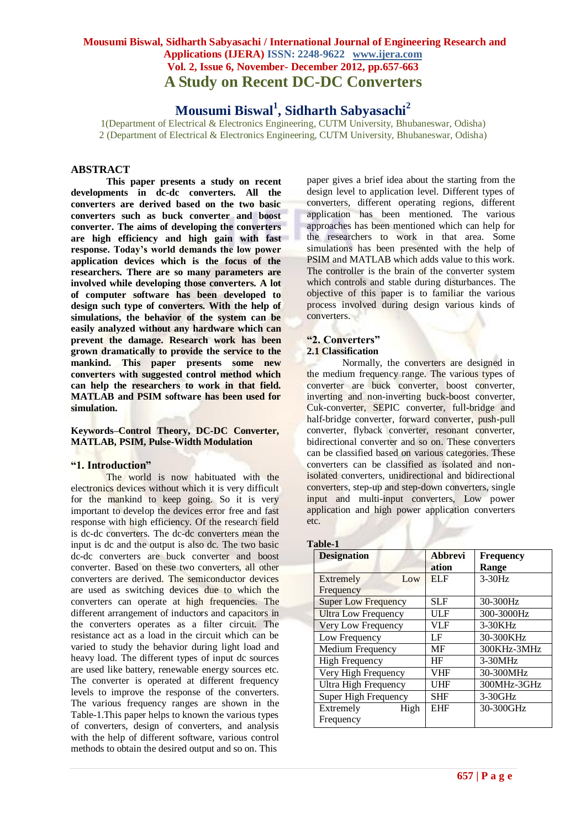# **Mousumi Biswal<sup>1</sup> , Sidharth Sabyasachi<sup>2</sup>**

1(Department of Electrical & Electronics Engineering, CUTM University, Bhubaneswar, Odisha) 2 (Department of Electrical & Electronics Engineering, CUTM University, Bhubaneswar, Odisha)

# **ABSTRACT**

**This paper presents a study on recent developments in dc-dc converters. All the converters are derived based on the two basic converters such as buck converter and boost converter. The aims of developing the converters are high efficiency and high gain with fast response. Today's world demands the low power application devices which is the focus of the researchers. There are so many parameters are involved while developing those converters. A lot of computer software has been developed to design such type of converters. With the help of simulations, the behavior of the system can be easily analyzed without any hardware which can prevent the damage. Research work has been grown dramatically to provide the service to the mankind. This paper presents some new converters with suggested control method which can help the researchers to work in that field. MATLAB and PSIM software has been used for simulation.** 

#### **Keywords–Control Theory, DC-DC Converter, MATLAB, PSIM, Pulse-Width Modulation**

#### **"1. Introduction"**

The world is now habituated with the electronics devices without which it is very difficult for the mankind to keep going. So it is very important to develop the devices error free and fast response with high efficiency. Of the research field is dc-dc converters. The dc-dc converters mean the input is dc and the output is also dc. The two basic dc-dc converters are buck converter and boost converter. Based on these two converters, all other converters are derived. The semiconductor devices are used as switching devices due to which the converters can operate at high frequencies. The different arrangement of inductors and capacitors in the converters operates as a filter circuit. The resistance act as a load in the circuit which can be varied to study the behavior during light load and heavy load. The different types of input dc sources are used like battery, renewable energy sources etc. The converter is operated at different frequency levels to improve the response of the converters. The various frequency ranges are shown in the Table-1.This paper helps to known the various types of converters, design of converters, and analysis with the help of different software, various control methods to obtain the desired output and so on. This

paper gives a brief idea about the starting from the design level to application level. Different types of converters, different operating regions, different application has been mentioned. The various approaches has been mentioned which can help for the researchers to work in that area. Some simulations has been presented with the help of PSIM and MATLAB which adds value to this work. The controller is the brain of the converter system which controls and stable during disturbances. The objective of this paper is to familiar the various process involved during design various kinds of converters.

#### **"2. Converters"**

#### **2.1 Classification**

Normally, the converters are designed in the medium frequency range. The various types of converter are buck converter, boost converter, inverting and non-inverting buck-boost converter, Cuk-converter, SEPIC converter, full-bridge and half-bridge converter, forward converter, push-pull converter, flyback converter, resonant converter, bidirectional converter and so on. These converters can be classified based on various categories. These converters can be classified as isolated and nonisolated converters, unidirectional and bidirectional converters, step-up and step-down converters, single input and multi-input converters, Low power application and high power application converters etc.

#### **Table-1**

| <b>Designation</b>          | <b>Abbrevi</b> | <b>Frequency</b> |
|-----------------------------|----------------|------------------|
|                             | ation          | Range            |
| Extremely<br>Low            | <b>ELF</b>     | $3-30Hz$         |
| Frequency                   |                |                  |
| <b>Super Low Frequency</b>  | <b>SLF</b>     | 30-300Hz         |
| <b>Ultra Low Frequency</b>  | ULF            | 300-3000Hz       |
| Very Low Frequency          | <b>VLF</b>     | 3-30KHz          |
| Low Frequency               | LF             | 30-300KHz        |
| <b>Medium Frequency</b>     | MF             | 300KHz-3MHz      |
| <b>High Frequency</b>       | HF             | $3-30MHz$        |
| Very High Frequency         | VHF            | 30-300MHz        |
| <b>Ultra High Frequency</b> | UHF            | 300MHz-3GHz      |
| Super High Frequency        | <b>SHF</b>     | 3-30GHz          |
| Extremely<br>High           | <b>EHF</b>     | 30-300GHz        |
| Frequency                   |                |                  |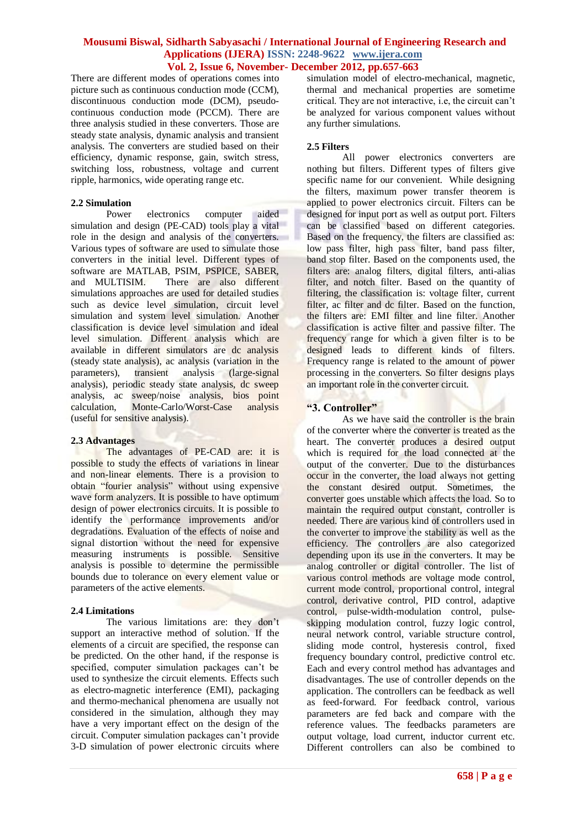There are different modes of operations comes into picture such as continuous conduction mode (CCM), discontinuous conduction mode (DCM), pseudocontinuous conduction mode (PCCM). There are three analysis studied in these converters. Those are steady state analysis, dynamic analysis and transient analysis. The converters are studied based on their efficiency, dynamic response, gain, switch stress, switching loss, robustness, voltage and current ripple, harmonics, wide operating range etc.

#### **2.2 Simulation**

Power electronics computer aided simulation and design (PE-CAD) tools play a vital role in the design and analysis of the converters. Various types of software are used to simulate those converters in the initial level. Different types of software are MATLAB, PSIM, PSPICE, SABER, and MULTISIM. There are also different simulations approaches are used for detailed studies such as device level simulation, circuit level simulation and system level simulation. Another classification is device level simulation and ideal level simulation. Different analysis which are available in different simulators are dc analysis (steady state analysis), ac analysis (variation in the parameters), transient analysis (large-signal analysis), periodic steady state analysis, dc sweep analysis, ac sweep/noise analysis, bios point calculation, Monte-Carlo/Worst-Case analysis (useful for sensitive analysis).

#### **2.3 Advantages**

The advantages of PE-CAD are: it is possible to study the effects of variations in linear and non-linear elements. There is a provision to obtain "fourier analysis" without using expensive wave form analyzers. It is possible to have optimum design of power electronics circuits. It is possible to identify the performance improvements and/or degradations. Evaluation of the effects of noise and signal distortion without the need for expensive measuring instruments is possible. Sensitive analysis is possible to determine the permissible bounds due to tolerance on every element value or parameters of the active elements.

#### **2.4 Limitations**

The various limitations are: they don't support an interactive method of solution. If the elements of a circuit are specified, the response can be predicted. On the other hand, if the response is specified, computer simulation packages can't be used to synthesize the circuit elements. Effects such as electro-magnetic interference (EMI), packaging and thermo-mechanical phenomena are usually not considered in the simulation, although they may have a very important effect on the design of the circuit. Computer simulation packages can't provide 3-D simulation of power electronic circuits where

simulation model of electro-mechanical, magnetic, thermal and mechanical properties are sometime critical. They are not interactive, i.e, the circuit can't be analyzed for various component values without any further simulations.

#### **2.5 Filters**

All power electronics converters are nothing but filters. Different types of filters give specific name for our convenient. While designing the filters, maximum power transfer theorem is applied to power electronics circuit. Filters can be designed for input port as well as output port. Filters can be classified based on different categories. Based on the frequency, the filters are classified as: low pass filter, high pass filter, band pass filter, band stop filter. Based on the components used, the filters are: analog filters, digital filters, anti-alias filter, and notch filter. Based on the quantity of filtering, the classification is: voltage filter, current filter, ac filter and dc filter. Based on the function, the filters are: EMI filter and line filter. Another classification is active filter and passive filter. The frequency range for which a given filter is to be designed leads to different kinds of filters. Frequency range is related to the amount of power processing in the converters. So filter designs plays an important role in the converter circuit.

# **"3. Controller"**

As we have said the controller is the brain of the converter where the converter is treated as the heart. The converter produces a desired output which is required for the load connected at the output of the converter. Due to the disturbances occur in the converter, the load always not getting the constant desired output. Sometimes, the converter goes unstable which affects the load. So to maintain the required output constant, controller is needed. There are various kind of controllers used in the converter to improve the stability as well as the efficiency. The controllers are also categorized depending upon its use in the converters. It may be analog controller or digital controller. The list of various control methods are voltage mode control, current mode control, proportional control, integral control, derivative control, PID control, adaptive control, pulse-width-modulation control, pulseskipping modulation control, fuzzy logic control, neural network control, variable structure control, sliding mode control, hysteresis control, fixed frequency boundary control, predictive control etc. Each and every control method has advantages and disadvantages. The use of controller depends on the application. The controllers can be feedback as well as feed-forward. For feedback control, various parameters are fed back and compare with the reference values. The feedbacks parameters are output voltage, load current, inductor current etc. Different controllers can also be combined to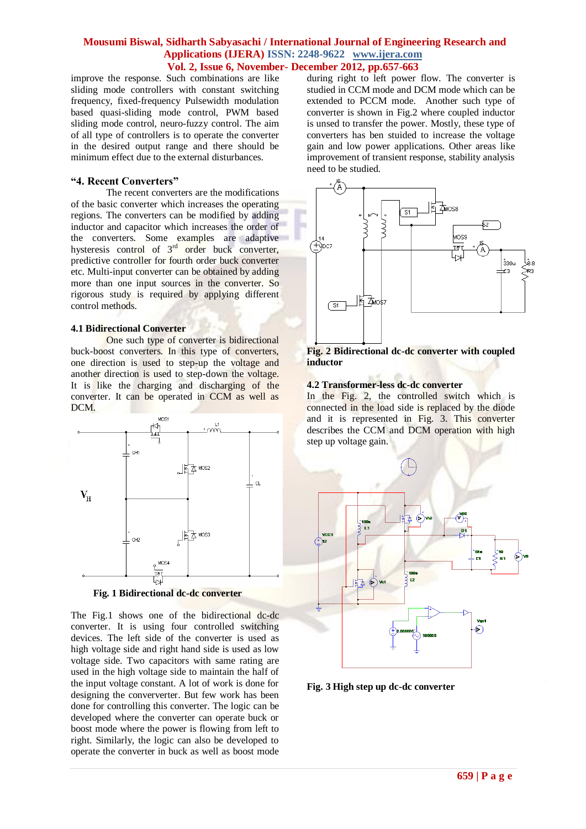improve the response. Such combinations are like sliding mode controllers with constant switching frequency, fixed-frequency Pulsewidth modulation based quasi-sliding mode control, PWM based sliding mode control, neuro-fuzzy control. The aim of all type of controllers is to operate the converter in the desired output range and there should be minimum effect due to the external disturbances.

#### **"4. Recent Converters"**

The recent converters are the modifications of the basic converter which increases the operating regions. The converters can be modified by adding inductor and capacitor which increases the order of the converters. Some examples are adaptive hysteresis control of  $3<sup>rd</sup>$  order buck converter, predictive controller for fourth order buck converter etc. Multi-input converter can be obtained by adding more than one input sources in the converter. So rigorous study is required by applying different control methods.

#### **4.1 Bidirectional Converter**

One such type of converter is bidirectional buck-boost converters. In this type of converters, one direction is used to step-up the voltage and another direction is used to step-down the voltage. It is like the charging and discharging of the converter. It can be operated in CCM as well as DCM.



**Fig. 1 Bidirectional dc-dc converter**

The Fig.1 shows one of the bidirectional dc-dc converter. It is using four controlled switching devices. The left side of the converter is used as high voltage side and right hand side is used as low voltage side. Two capacitors with same rating are used in the high voltage side to maintain the half of the input voltage constant. A lot of work is done for designing the conververter. But few work has been done for controlling this converter. The logic can be developed where the converter can operate buck or boost mode where the power is flowing from left to right. Similarly, the logic can also be developed to operate the converter in buck as well as boost mode

during right to left power flow. The converter is studied in CCM mode and DCM mode which can be extended to PCCM mode. Another such type of converter is shown in Fig.2 where coupled inductor is unsed to transfer the power. Mostly, these type of converters has ben stuided to increase the voltage gain and low power applications. Other areas like improvement of transient response, stability analysis need to be studied.



**Fig. 2 Bidirectional dc-dc converter with coupled inductor**

#### **4.2 Transformer-less dc-dc converter**

In the Fig. 2, the controlled switch which is connected in the load side is replaced by the diode and it is represented in Fig. 3. This converter describes the CCM and DCM operation with high step up voltage gain.



**Fig. 3 High step up dc-dc converter**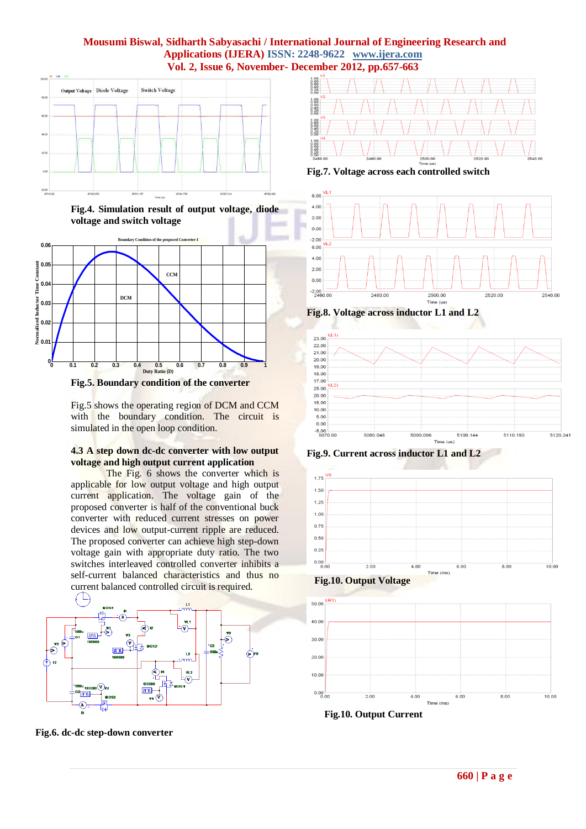

**Fig.4. Simulation result of output voltage, diode voltage and switch voltage**



**Fig.5. Boundary condition of the converter**

Fig.5 shows the operating region of DCM and CCM with the boundary condition. The circuit is simulated in the open loop condition.

#### **4.3 A step down dc-dc converter with low output voltage and high output current application**

The Fig. 6 shows the converter which is applicable for low output voltage and high output current application. The voltage gain of the proposed converter is half of the conventional buck converter with reduced current stresses on power devices and low output-current ripple are reduced. The proposed converter can achieve high step-down voltage gain with appropriate duty ratio. The two switches interleaved controlled converter inhibits a self-current balanced characteristics and thus no current balanced controlled circuit is required.



**Fig.6. dc-dc step-down converter**



**Fig.7. Voltage across each controlled switch**



**Fig.8. Voltage across inductor L1 and L2**



**Fig.9. Current across inductor L1 and L2**





 **Fig.10. Output Current**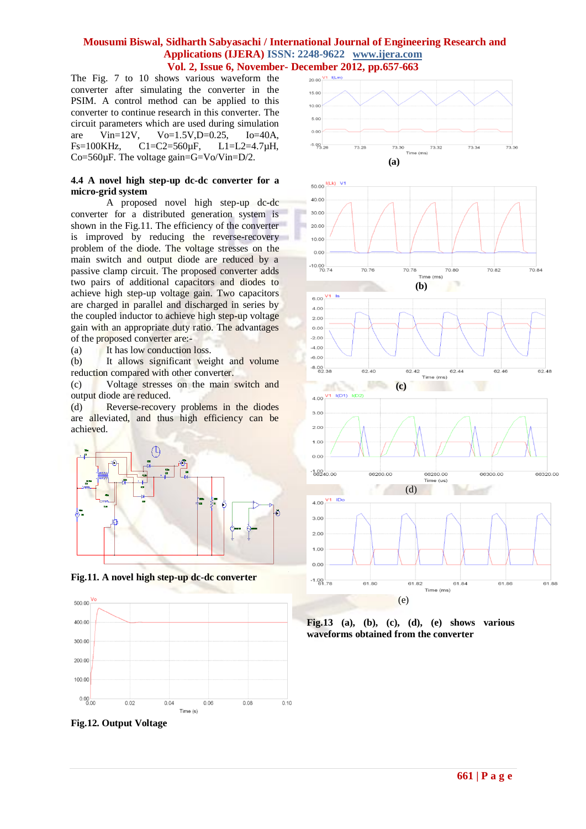The Fig. 7 to 10 shows various waveform the converter after simulating the converter in the PSIM. A control method can be applied to this converter to continue research in this converter. The circuit parameters which are used during simulation are Vin=12V, Vo=1.5V,D=0.25, Io=40A, Fs=100KHz, C1=C2=560µF, L1=L2=4.7µH, Co=560µF. The voltage gain=G=Vo/Vin=D/2.

#### **4.4 A novel high step-up dc-dc converter for a micro-grid system**

A proposed novel high step-up dc-dc converter for a distributed generation system is shown in the Fig.11. The efficiency of the converter is improved by reducing the reverse-recovery problem of the diode. The voltage stresses on the main switch and output diode are reduced by a passive clamp circuit. The proposed converter adds two pairs of additional capacitors and diodes to achieve high step-up voltage gain. Two capacitors are charged in parallel and discharged in series by the coupled inductor to achieve high step-up voltage gain with an appropriate duty ratio. The advantages of the proposed converter are:-

(a) It has low conduction loss.

(b) It allows significant weight and volume reduction compared with other converter.

(c) Voltage stresses on the main switch and output diode are reduced.

(d) Reverse-recovery problems in the diodes are alleviated, and thus high efficiency can be achieved.



**Fig.11. A novel high step-up dc-dc converter**



**Fig.12. Output Voltage**











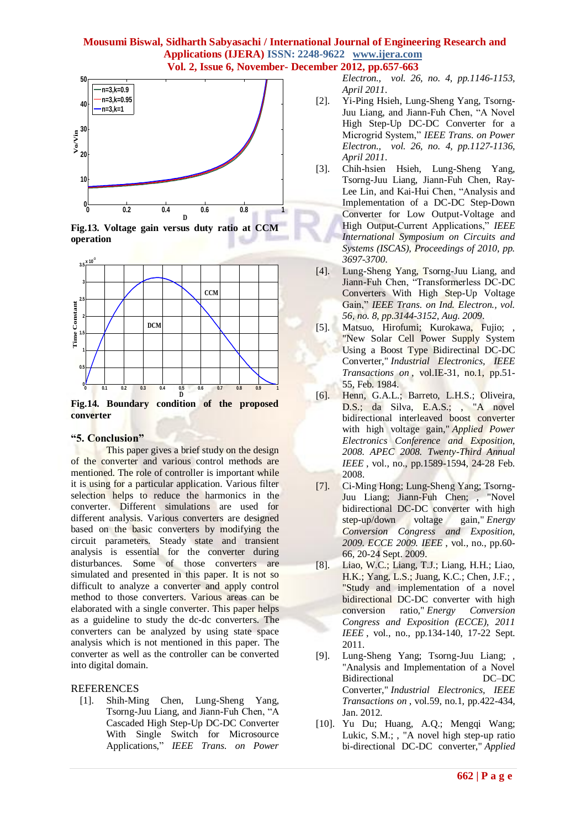





**Fig.14. Boundary condition of the proposed converter**

#### **"5. Conclusion"**

This paper gives a brief study on the design of the converter and various control methods are mentioned. The role of controller is important while it is using for a particular application. Various filter selection helps to reduce the harmonics in the converter. Different simulations are used for different analysis. Various converters are designed based on the basic converters by modifying the circuit parameters. Steady state and transient analysis is essential for the converter during disturbances. Some of those converters are simulated and presented in this paper. It is not so difficult to analyze a converter and apply control method to those converters. Various areas can be elaborated with a single converter. This paper helps as a guideline to study the dc-dc converters. The converters can be analyzed by using state space analysis which is not mentioned in this paper. The converter as well as the controller can be converted into digital domain.

#### REFERENCES

[1]. Shih-Ming Chen, Lung-Sheng Yang, Tsorng-Juu Liang, and Jiann-Fuh Chen, "A Cascaded High Step-Up DC-DC Converter With Single Switch for Microsource Applications," *IEEE Trans. on Power*  *Electron., vol. 26, no. 4, pp.1146-1153, April 2011*.

- [2]. Yi-Ping Hsieh, Lung-Sheng Yang, Tsorng-Juu Liang, and Jiann-Fuh Chen, "A Novel High Step-Up DC-DC Converter for a Microgrid System," *IEEE Trans. on Power Electron., vol. 26, no. 4, pp.1127-1136, April 2011*.
- [3]. Chih-hsien Hsieh, Lung-Sheng Yang, Tsorng-Juu Liang, Jiann-Fuh Chen, Ray-Lee Lin, and Kai-Hui Chen, "Analysis and Implementation of a DC-DC Step-Down Converter for Low Output-Voltage and High Output-Current Applications," *IEEE International Symposium on Circuits and Systems (ISCAS), Proceedings of 2010, pp. 3697-3700*.
- [4]. Lung-Sheng Yang, Tsorng-Juu Liang, and Jiann-Fuh Chen, "Transformerless DC-DC Converters With High Step-Up Voltage Gain," *IEEE Trans. on Ind. Electron., vol. 56, no. 8, pp.3144-3152, Aug. 2009*.
- [5]. Matsuo, Hirofumi; Kurokawa, Fujio; , "New Solar Cell Power Supply System Using a Boost Type Bidirectinal DC-DC Converter," *Industrial Electronics, IEEE Transactions on* , vol.IE-31, no.1, pp.51- 55, Feb. 1984.
- [6]. Henn, G.A.L.; Barreto, L.H.S.; Oliveira, D.S.; da Silva, E.A.S.; , "A novel bidirectional interleaved boost converter with high voltage gain," *Applied Power Electronics Conference and Exposition, 2008. APEC 2008. Twenty-Third Annual IEEE* , vol., no., pp.1589-1594, 24-28 Feb. 2008.
- [7]. Ci-Ming Hong; Lung-Sheng Yang; Tsorng-Juu Liang; Jiann-Fuh Chen; , "Novel bidirectional DC-DC converter with high step-up/down voltage gain," *Energy Conversion Congress and Exposition, 2009. ECCE 2009. IEEE* , vol., no., pp.60- 66, 20-24 Sept. 2009.
- [8]. Liao, W.C.; Liang, T.J.; Liang, H.H.; Liao, H.K.; Yang, L.S.; Juang, K.C.; Chen, J.F.; , "Study and implementation of a novel bidirectional DC-DC converter with high conversion ratio," *Energy Conversion Congress and Exposition (ECCE), 2011 IEEE*, vol., no., pp.134-140, 17-22 Sept. 2011.
- [9]. Lung-Sheng Yang; Tsorng-Juu Liang; "Analysis and Implementation of a Novel Bidirectional DC–DC Converter," *Industrial Electronics, IEEE Transactions on* , vol.59, no.1, pp.422-434, Jan. 2012.
- [10]. Yu Du; Huang, A.Q.; Mengqi Wang; Lukic, S.M.; , "A novel high step-up ratio bi-directional DC-DC converter," *Applied*